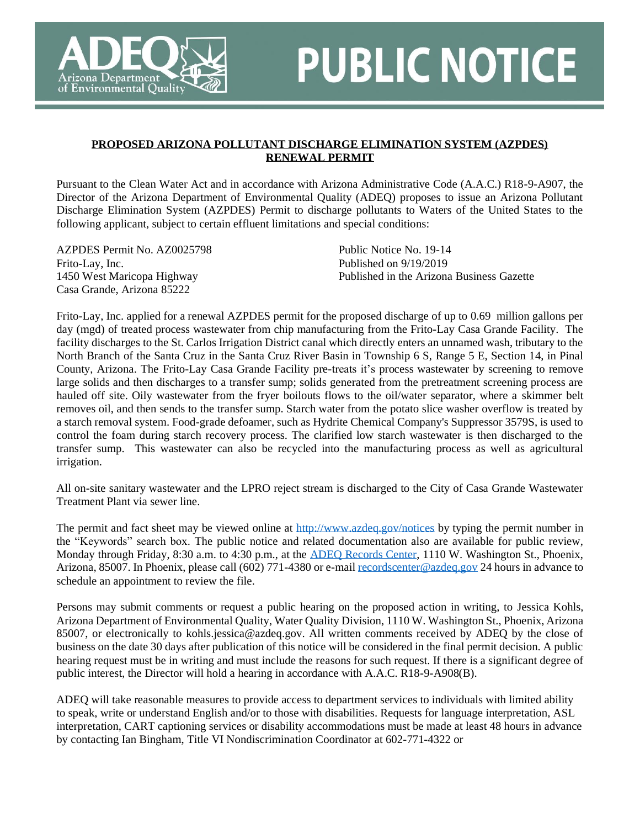

## **PUBLIC NOTICE**

## **PROPOSED ARIZONA POLLUTANT DISCHARGE ELIMINATION SYSTEM (AZPDES) RENEWAL PERMIT**

Pursuant to the Clean Water Act and in accordance with Arizona Administrative Code (A.A.C.) R18-9-A907, the Director of the Arizona Department of Environmental Quality (ADEQ) proposes to issue an Arizona Pollutant Discharge Elimination System (AZPDES) Permit to discharge pollutants to Waters of the United States to the following applicant, subject to certain effluent limitations and special conditions:

AZPDES Permit No. AZ0025798 Frito-Lay, Inc. 1450 West Maricopa Highway Casa Grande, Arizona 85222

Public Notice No. 19-14 Published on 9/19/2019 Published in the Arizona Business Gazette

Frito-Lay, Inc. applied for a renewal AZPDES permit for the proposed discharge of up to 0.69 million gallons per day (mgd) of treated process wastewater from chip manufacturing from the Frito-Lay Casa Grande Facility. The facility discharges to the St. Carlos Irrigation District canal which directly enters an unnamed wash, tributary to the North Branch of the Santa Cruz in the Santa Cruz River Basin in Township 6 S, Range 5 E, Section 14, in Pinal County, Arizona. The Frito-Lay Casa Grande Facility pre-treats it's process wastewater by screening to remove large solids and then discharges to a transfer sump; solids generated from the pretreatment screening process are hauled off site. Oily wastewater from the fryer boilouts flows to the oil/water separator, where a skimmer belt removes oil, and then sends to the transfer sump. Starch water from the potato slice washer overflow is treated by a starch removal system. Food-grade defoamer, such as Hydrite Chemical Company's Suppressor 3579S, is used to control the foam during starch recovery process. The clarified low starch wastewater is then discharged to the transfer sump. This wastewater can also be recycled into the manufacturing process as well as agricultural irrigation.

All on-site sanitary wastewater and the LPRO reject stream is discharged to the City of Casa Grande Wastewater Treatment Plant via sewer line.

The permit and fact sheet may be viewed online at<http://www.azdeq.gov/notices> by typing the permit number in the "Keywords" search box. The public notice and related documentation also are available for public review, Monday through Friday, 8:30 a.m. to 4:30 p.m., at the [ADEQ Records Center,](http://azdeq.gov/function/assistance/records.html) 1110 W. Washington St., Phoenix, Arizona, 85007. In Phoenix, please call (602) 771-4380 or e-mai[l recordscenter@azdeq.gov](mailto:recordscenter@azdeq.gov) 24 hours in advance to schedule an appointment to review the file.

Persons may submit comments or request a public hearing on the proposed action in writing, to Jessica Kohls, Arizona Department of Environmental Quality, Water Quality Division, 1110 W. Washington St., Phoenix, Arizona 85007, or electronically to kohls.jessica@azdeq.gov. All written comments received by ADEQ by the close of business on the date 30 days after publication of this notice will be considered in the final permit decision. A public hearing request must be in writing and must include the reasons for such request. If there is a significant degree of public interest, the Director will hold a hearing in accordance with A.A.C. R18-9-A908(B).

ADEQ will take reasonable measures to provide access to department services to individuals with limited ability to speak, write or understand English and/or to those with disabilities. Requests for language interpretation, ASL interpretation, CART captioning services or disability accommodations must be made at least 48 hours in advance by contacting Ian Bingham, Title VI Nondiscrimination Coordinator at 602-771-4322 or